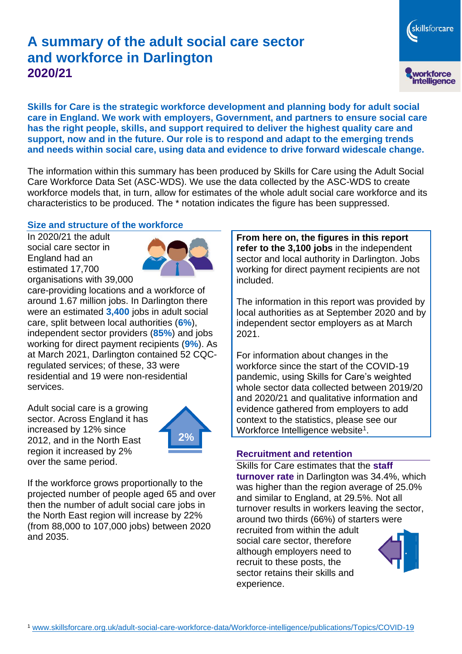# **A summary of the adult social care sector and workforce in Darlington 2020/21**

**Skills for Care is the strategic workforce development and planning body for adult social care in England. We work with employers, Government, and partners to ensure social care has the right people, skills, and support required to deliver the highest quality care and support, now and in the future. Our role is to respond and adapt to the emerging trends and needs within social care, using data and evidence to drive forward widescale change.**

The information within this summary has been produced by Skills for Care using the Adult Social Care Workforce Data Set (ASC-WDS). We use the data collected by the ASC-WDS to create workforce models that, in turn, allow for estimates of the whole adult social care workforce and its characteristics to be produced. The \* notation indicates the figure has been suppressed.

#### **Size and structure of the workforce**

In 2020/21 the adult social care sector in England had an estimated 17,700 organisations with 39,000



care-providing locations and a workforce of around 1.67 million jobs. In Darlington there were an estimated **3,400** jobs in adult social care, split between local authorities (**6%**), independent sector providers (**85%**) and jobs working for direct payment recipients (**9%**). As at March 2021, Darlington contained 52 CQCregulated services; of these, 33 were residential and 19 were non-residential services.

Adult social care is a growing sector. Across England it has increased by 12% since 2012, and in the North East region it increased by 2% over the same period.



If the workforce grows proportionally to the projected number of people aged 65 and over then the number of adult social care jobs in the North East region will increase by 22% (from 88,000 to 107,000 jobs) between 2020 and 2035.

**From here on, the figures in this report refer to the 3,100 jobs** in the independent sector and local authority in Darlington. Jobs working for direct payment recipients are not included.

skillsforcare

workforce<br>intelligence

The information in this report was provided by local authorities as at September 2020 and by independent sector employers as at March 2021.

For information about changes in the workforce since the start of the COVID-19 pandemic, using Skills for Care's weighted whole sector data collected between 2019/20 and 2020/21 and qualitative information and evidence gathered from employers to add context to the statistics, please see our Workforce Intelligence website<sup>1</sup>.

#### **Recruitment and retention**

Skills for Care estimates that the **staff turnover rate** in Darlington was 34.4%, which was higher than the region average of 25.0% and similar to England, at 29.5%. Not all turnover results in workers leaving the sector, around two thirds (66%) of starters were recruited from within the adult social care sector, therefore although employers need to recruit to these posts, the sector retains their skills and experience.

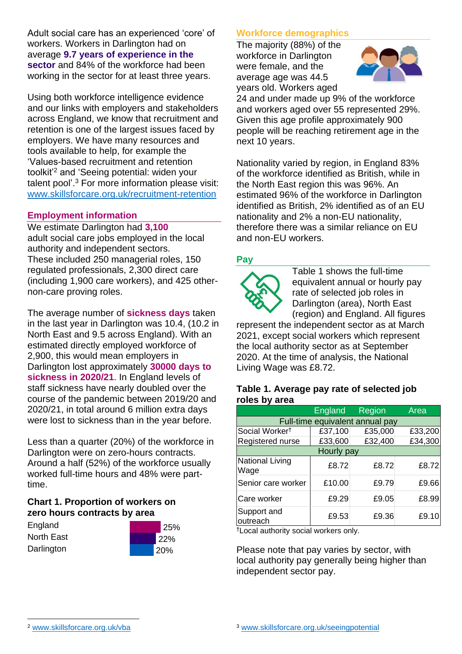Adult social care has an experienced 'core' of workers. Workers in Darlington had on average **9.7 years of experience in the sector** and 84% of the workforce had been working in the sector for at least three years.

Using both workforce intelligence evidence and our links with employers and stakeholders across England, we know that recruitment and retention is one of the largest issues faced by employers. We have many resources and tools available to help, for example the 'Values-based recruitment and retention toolkit'<sup>2</sup> and 'Seeing potential: widen your talent pool'. <sup>3</sup> For more information please visit: [www.skillsforcare.org.uk/recruitment-retention](http://www.skillsforcare.org.uk/recruitment-retention)

### **Employment information**

We estimate Darlington had **3,100** adult social care jobs employed in the local authority and independent sectors. These included 250 managerial roles, 150 regulated professionals, 2,300 direct care (including 1,900 care workers), and 425 othernon-care proving roles.

The average number of **sickness days** taken in the last year in Darlington was 10.4, (10.2 in North East and 9.5 across England). With an estimated directly employed workforce of 2,900, this would mean employers in Darlington lost approximately **30000 days to sickness in 2020/21**. In England levels of staff sickness have nearly doubled over the course of the pandemic between 2019/20 and 2020/21, in total around 6 million extra days were lost to sickness than in the year before.

Less than a quarter (20%) of the workforce in Darlington were on zero-hours contracts. Around a half (52%) of the workforce usually worked full-time hours and 48% were parttime.

## **Chart 1. Proportion of workers on zero hours contracts by area**

**England** North East **Darlington** 



## **Workforce demographics**

The majority (88%) of the workforce in Darlington were female, and the average age was 44.5 years old. Workers aged



24 and under made up 9% of the workforce and workers aged over 55 represented 29%. Given this age profile approximately 900 people will be reaching retirement age in the next 10 years.

Nationality varied by region, in England 83% of the workforce identified as British, while in the North East region this was 96%. An estimated 96% of the workforce in Darlington identified as British, 2% identified as of an EU nationality and 2% a non-EU nationality, therefore there was a similar reliance on EU and non-EU workers.

## **Pay**



Table 1 shows the full-time equivalent annual or hourly pay rate of selected job roles in Darlington (area), North East (region) and England. All figures

represent the independent sector as at March 2021, except social workers which represent the local authority sector as at September 2020. At the time of analysis, the National Living Wage was £8.72.

#### **Table 1. Average pay rate of selected job roles by area**

|                                 | <b>England</b> | <b>Region</b> | Area    |
|---------------------------------|----------------|---------------|---------|
| Full-time equivalent annual pay |                |               |         |
| Social Worker <sup>t</sup>      | £37,100        | £35,000       | £33,200 |
| Registered nurse                | £33,600        | £32,400       | £34,300 |
| Hourly pay                      |                |               |         |
| National Living<br>Wage         | £8.72          | £8.72         | £8.72   |
| Senior care worker              | £10.00         | £9.79         | £9.66   |
| Care worker                     | £9.29          | £9.05         | £8.99   |
| Support and<br>outreach         | £9.53          | £9.36         | £9.10   |

†Local authority social workers only.

Please note that pay varies by sector, with local authority pay generally being higher than independent sector pay.

[www.skillsforcare.org.uk/vba](http://www.skillsforcare.org.uk/vba)